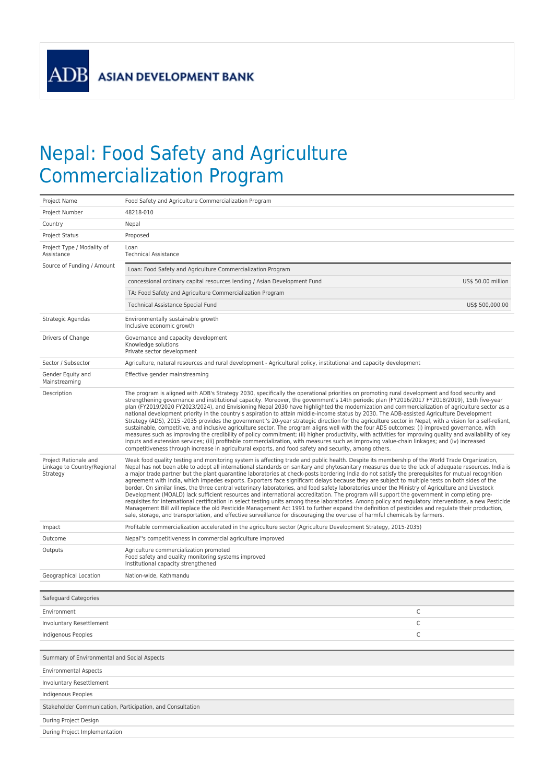**ADB** 

## Nepal: Food Safety and Agriculture Commercialization Program

| 48218-010<br>Project Number<br>Country<br>Nepal<br>Proposed<br>Project Status<br>Project Type / Modality of<br>Loan<br>Assistance<br><b>Technical Assistance</b><br>Source of Funding / Amount<br>Loan: Food Safety and Agriculture Commercialization Program<br>concessional ordinary capital resources lending / Asian Development Fund<br>US\$ 50.00 million<br>TA: Food Safety and Agriculture Commercialization Program<br>Technical Assistance Special Fund<br>US\$ 500,000.00<br>Environmentally sustainable growth<br>Strategic Agendas<br>Inclusive economic growth<br>Drivers of Change<br>Governance and capacity development<br>Knowledge solutions<br>Private sector development<br>Agriculture, natural resources and rural development - Agricultural policy, institutional and capacity development<br>Sector / Subsector<br>Gender Equity and<br>Effective gender mainstreaming<br>Mainstreaming<br>Description<br>The program is aligned with ADB's Strategy 2030, specifically the operational priorities on promoting rural development and food security and<br>strengthening governance and institutional capacity. Moreover, the government's 14th periodic plan (FY2016/2017 FY2018/2019), 15th five-year<br>plan (FY2019/2020 FY2023/2024), and Envisioning Nepal 2030 have highlighted the modernization and commercialization of agriculture sector as a<br>national development priority in the country's aspiration to attain middle-income status by 2030. The ADB-assisted Agriculture Development<br>Strategy (ADS), 2015 -2035 provides the government"s 20-year strategic direction for the agriculture sector in Nepal, with a vision for a self-reliant,<br>sustainable, competitive, and inclusive agriculture sector. The program aligns well with the four ADS outcomes: (i) improved governance, with<br>measures such as improving the credibility of policy commitment; (ii) higher productivity, with activities for improving quality and availability of key<br>inputs and extension services; (iii) profitable commercialization, with measures such as improving value-chain linkages; and (iv) increased<br>competitiveness through increase in agricultural exports, and food safety and security, among others.<br>Project Rationale and<br>Weak food quality testing and monitoring system is affecting trade and public health. Despite its membership of the World Trade Organization,<br>Linkage to Country/Regional<br>Nepal has not been able to adopt all international standards on sanitary and phytosanitary measures due to the lack of adequate resources. India is<br>a major trade partner but the plant quarantine laboratories at check-posts bordering India do not satisfy the prerequisites for mutual recognition<br>Strategy<br>agreement with India, which impedes exports. Exporters face significant delays because they are subject to multiple tests on both sides of the<br>border. On similar lines, the three central veterinary laboratories, and food safety laboratories under the Ministry of Agriculture and Livestock<br>Development (MOALD) lack sufficient resources and international accreditation. The program will support the government in completing pre-<br>requisites for international certification in select testing units among these laboratories. Among policy and regulatory interventions, a new Pesticide<br>Management Bill will replace the old Pesticide Management Act 1991 to further expand the definition of pesticides and regulate their production,<br>sale, storage, and transportation, and effective surveillance for discouraging the overuse of harmful chemicals by farmers.<br>Profitable commercialization accelerated in the agriculture sector (Agriculture Development Strategy, 2015-2035)<br>Impact<br>Nepal"s competitiveness in commercial agriculture improved<br>Outcome<br>Agriculture commercialization promoted<br>Outputs<br>Food safety and quality monitoring systems improved<br>Institutional capacity strengthened<br>Nation-wide, Kathmandu<br>Geographical Location<br>Safeguard Categories<br>С<br>Environment<br>С<br>Involuntary Resettlement<br>C<br>Indigenous Peoples<br>Summary of Environmental and Social Aspects<br><b>Environmental Aspects</b><br><b>Involuntary Resettlement</b><br><b>Indigenous Peoples</b><br>Stakeholder Communication, Participation, and Consultation<br>During Project Design<br>During Project Implementation | Project Name | Food Safety and Agriculture Commercialization Program |  |  |
|---------------------------------------------------------------------------------------------------------------------------------------------------------------------------------------------------------------------------------------------------------------------------------------------------------------------------------------------------------------------------------------------------------------------------------------------------------------------------------------------------------------------------------------------------------------------------------------------------------------------------------------------------------------------------------------------------------------------------------------------------------------------------------------------------------------------------------------------------------------------------------------------------------------------------------------------------------------------------------------------------------------------------------------------------------------------------------------------------------------------------------------------------------------------------------------------------------------------------------------------------------------------------------------------------------------------------------------------------------------------------------------------------------------------------------------------------------------------------------------------------------------------------------------------------------------------------------------------------------------------------------------------------------------------------------------------------------------------------------------------------------------------------------------------------------------------------------------------------------------------------------------------------------------------------------------------------------------------------------------------------------------------------------------------------------------------------------------------------------------------------------------------------------------------------------------------------------------------------------------------------------------------------------------------------------------------------------------------------------------------------------------------------------------------------------------------------------------------------------------------------------------------------------------------------------------------------------------------------------------------------------------------------------------------------------------------------------------------------------------------------------------------------------------------------------------------------------------------------------------------------------------------------------------------------------------------------------------------------------------------------------------------------------------------------------------------------------------------------------------------------------------------------------------------------------------------------------------------------------------------------------------------------------------------------------------------------------------------------------------------------------------------------------------------------------------------------------------------------------------------------------------------------------------------------------------------------------------------------------------------------------------------------------------------------------------------------------------------------------------------------------------------------------------------------------------------------------------------------------------------------------------------------------------------------------------------------------------------------------------------------------------------------------------------------------------------------------------------------------------------------------------------------------------------------------------------------------------------------------------------------------------------------------------------------------------------------------------------------------------------------------------------------------------------------------------------------------------------------------------------------|--------------|-------------------------------------------------------|--|--|
|                                                                                                                                                                                                                                                                                                                                                                                                                                                                                                                                                                                                                                                                                                                                                                                                                                                                                                                                                                                                                                                                                                                                                                                                                                                                                                                                                                                                                                                                                                                                                                                                                                                                                                                                                                                                                                                                                                                                                                                                                                                                                                                                                                                                                                                                                                                                                                                                                                                                                                                                                                                                                                                                                                                                                                                                                                                                                                                                                                                                                                                                                                                                                                                                                                                                                                                                                                                                                                                                                                                                                                                                                                                                                                                                                                                                                                                                                                                                                                                                                                                                                                                                                                                                                                                                                                                                                                                                                                                                                                   |              |                                                       |  |  |
|                                                                                                                                                                                                                                                                                                                                                                                                                                                                                                                                                                                                                                                                                                                                                                                                                                                                                                                                                                                                                                                                                                                                                                                                                                                                                                                                                                                                                                                                                                                                                                                                                                                                                                                                                                                                                                                                                                                                                                                                                                                                                                                                                                                                                                                                                                                                                                                                                                                                                                                                                                                                                                                                                                                                                                                                                                                                                                                                                                                                                                                                                                                                                                                                                                                                                                                                                                                                                                                                                                                                                                                                                                                                                                                                                                                                                                                                                                                                                                                                                                                                                                                                                                                                                                                                                                                                                                                                                                                                                                   |              |                                                       |  |  |
|                                                                                                                                                                                                                                                                                                                                                                                                                                                                                                                                                                                                                                                                                                                                                                                                                                                                                                                                                                                                                                                                                                                                                                                                                                                                                                                                                                                                                                                                                                                                                                                                                                                                                                                                                                                                                                                                                                                                                                                                                                                                                                                                                                                                                                                                                                                                                                                                                                                                                                                                                                                                                                                                                                                                                                                                                                                                                                                                                                                                                                                                                                                                                                                                                                                                                                                                                                                                                                                                                                                                                                                                                                                                                                                                                                                                                                                                                                                                                                                                                                                                                                                                                                                                                                                                                                                                                                                                                                                                                                   |              |                                                       |  |  |
|                                                                                                                                                                                                                                                                                                                                                                                                                                                                                                                                                                                                                                                                                                                                                                                                                                                                                                                                                                                                                                                                                                                                                                                                                                                                                                                                                                                                                                                                                                                                                                                                                                                                                                                                                                                                                                                                                                                                                                                                                                                                                                                                                                                                                                                                                                                                                                                                                                                                                                                                                                                                                                                                                                                                                                                                                                                                                                                                                                                                                                                                                                                                                                                                                                                                                                                                                                                                                                                                                                                                                                                                                                                                                                                                                                                                                                                                                                                                                                                                                                                                                                                                                                                                                                                                                                                                                                                                                                                                                                   |              |                                                       |  |  |
|                                                                                                                                                                                                                                                                                                                                                                                                                                                                                                                                                                                                                                                                                                                                                                                                                                                                                                                                                                                                                                                                                                                                                                                                                                                                                                                                                                                                                                                                                                                                                                                                                                                                                                                                                                                                                                                                                                                                                                                                                                                                                                                                                                                                                                                                                                                                                                                                                                                                                                                                                                                                                                                                                                                                                                                                                                                                                                                                                                                                                                                                                                                                                                                                                                                                                                                                                                                                                                                                                                                                                                                                                                                                                                                                                                                                                                                                                                                                                                                                                                                                                                                                                                                                                                                                                                                                                                                                                                                                                                   |              |                                                       |  |  |
|                                                                                                                                                                                                                                                                                                                                                                                                                                                                                                                                                                                                                                                                                                                                                                                                                                                                                                                                                                                                                                                                                                                                                                                                                                                                                                                                                                                                                                                                                                                                                                                                                                                                                                                                                                                                                                                                                                                                                                                                                                                                                                                                                                                                                                                                                                                                                                                                                                                                                                                                                                                                                                                                                                                                                                                                                                                                                                                                                                                                                                                                                                                                                                                                                                                                                                                                                                                                                                                                                                                                                                                                                                                                                                                                                                                                                                                                                                                                                                                                                                                                                                                                                                                                                                                                                                                                                                                                                                                                                                   |              |                                                       |  |  |
|                                                                                                                                                                                                                                                                                                                                                                                                                                                                                                                                                                                                                                                                                                                                                                                                                                                                                                                                                                                                                                                                                                                                                                                                                                                                                                                                                                                                                                                                                                                                                                                                                                                                                                                                                                                                                                                                                                                                                                                                                                                                                                                                                                                                                                                                                                                                                                                                                                                                                                                                                                                                                                                                                                                                                                                                                                                                                                                                                                                                                                                                                                                                                                                                                                                                                                                                                                                                                                                                                                                                                                                                                                                                                                                                                                                                                                                                                                                                                                                                                                                                                                                                                                                                                                                                                                                                                                                                                                                                                                   |              |                                                       |  |  |
|                                                                                                                                                                                                                                                                                                                                                                                                                                                                                                                                                                                                                                                                                                                                                                                                                                                                                                                                                                                                                                                                                                                                                                                                                                                                                                                                                                                                                                                                                                                                                                                                                                                                                                                                                                                                                                                                                                                                                                                                                                                                                                                                                                                                                                                                                                                                                                                                                                                                                                                                                                                                                                                                                                                                                                                                                                                                                                                                                                                                                                                                                                                                                                                                                                                                                                                                                                                                                                                                                                                                                                                                                                                                                                                                                                                                                                                                                                                                                                                                                                                                                                                                                                                                                                                                                                                                                                                                                                                                                                   |              |                                                       |  |  |
|                                                                                                                                                                                                                                                                                                                                                                                                                                                                                                                                                                                                                                                                                                                                                                                                                                                                                                                                                                                                                                                                                                                                                                                                                                                                                                                                                                                                                                                                                                                                                                                                                                                                                                                                                                                                                                                                                                                                                                                                                                                                                                                                                                                                                                                                                                                                                                                                                                                                                                                                                                                                                                                                                                                                                                                                                                                                                                                                                                                                                                                                                                                                                                                                                                                                                                                                                                                                                                                                                                                                                                                                                                                                                                                                                                                                                                                                                                                                                                                                                                                                                                                                                                                                                                                                                                                                                                                                                                                                                                   |              |                                                       |  |  |
|                                                                                                                                                                                                                                                                                                                                                                                                                                                                                                                                                                                                                                                                                                                                                                                                                                                                                                                                                                                                                                                                                                                                                                                                                                                                                                                                                                                                                                                                                                                                                                                                                                                                                                                                                                                                                                                                                                                                                                                                                                                                                                                                                                                                                                                                                                                                                                                                                                                                                                                                                                                                                                                                                                                                                                                                                                                                                                                                                                                                                                                                                                                                                                                                                                                                                                                                                                                                                                                                                                                                                                                                                                                                                                                                                                                                                                                                                                                                                                                                                                                                                                                                                                                                                                                                                                                                                                                                                                                                                                   |              |                                                       |  |  |
|                                                                                                                                                                                                                                                                                                                                                                                                                                                                                                                                                                                                                                                                                                                                                                                                                                                                                                                                                                                                                                                                                                                                                                                                                                                                                                                                                                                                                                                                                                                                                                                                                                                                                                                                                                                                                                                                                                                                                                                                                                                                                                                                                                                                                                                                                                                                                                                                                                                                                                                                                                                                                                                                                                                                                                                                                                                                                                                                                                                                                                                                                                                                                                                                                                                                                                                                                                                                                                                                                                                                                                                                                                                                                                                                                                                                                                                                                                                                                                                                                                                                                                                                                                                                                                                                                                                                                                                                                                                                                                   |              |                                                       |  |  |
|                                                                                                                                                                                                                                                                                                                                                                                                                                                                                                                                                                                                                                                                                                                                                                                                                                                                                                                                                                                                                                                                                                                                                                                                                                                                                                                                                                                                                                                                                                                                                                                                                                                                                                                                                                                                                                                                                                                                                                                                                                                                                                                                                                                                                                                                                                                                                                                                                                                                                                                                                                                                                                                                                                                                                                                                                                                                                                                                                                                                                                                                                                                                                                                                                                                                                                                                                                                                                                                                                                                                                                                                                                                                                                                                                                                                                                                                                                                                                                                                                                                                                                                                                                                                                                                                                                                                                                                                                                                                                                   |              |                                                       |  |  |
|                                                                                                                                                                                                                                                                                                                                                                                                                                                                                                                                                                                                                                                                                                                                                                                                                                                                                                                                                                                                                                                                                                                                                                                                                                                                                                                                                                                                                                                                                                                                                                                                                                                                                                                                                                                                                                                                                                                                                                                                                                                                                                                                                                                                                                                                                                                                                                                                                                                                                                                                                                                                                                                                                                                                                                                                                                                                                                                                                                                                                                                                                                                                                                                                                                                                                                                                                                                                                                                                                                                                                                                                                                                                                                                                                                                                                                                                                                                                                                                                                                                                                                                                                                                                                                                                                                                                                                                                                                                                                                   |              |                                                       |  |  |
|                                                                                                                                                                                                                                                                                                                                                                                                                                                                                                                                                                                                                                                                                                                                                                                                                                                                                                                                                                                                                                                                                                                                                                                                                                                                                                                                                                                                                                                                                                                                                                                                                                                                                                                                                                                                                                                                                                                                                                                                                                                                                                                                                                                                                                                                                                                                                                                                                                                                                                                                                                                                                                                                                                                                                                                                                                                                                                                                                                                                                                                                                                                                                                                                                                                                                                                                                                                                                                                                                                                                                                                                                                                                                                                                                                                                                                                                                                                                                                                                                                                                                                                                                                                                                                                                                                                                                                                                                                                                                                   |              |                                                       |  |  |
|                                                                                                                                                                                                                                                                                                                                                                                                                                                                                                                                                                                                                                                                                                                                                                                                                                                                                                                                                                                                                                                                                                                                                                                                                                                                                                                                                                                                                                                                                                                                                                                                                                                                                                                                                                                                                                                                                                                                                                                                                                                                                                                                                                                                                                                                                                                                                                                                                                                                                                                                                                                                                                                                                                                                                                                                                                                                                                                                                                                                                                                                                                                                                                                                                                                                                                                                                                                                                                                                                                                                                                                                                                                                                                                                                                                                                                                                                                                                                                                                                                                                                                                                                                                                                                                                                                                                                                                                                                                                                                   |              |                                                       |  |  |
|                                                                                                                                                                                                                                                                                                                                                                                                                                                                                                                                                                                                                                                                                                                                                                                                                                                                                                                                                                                                                                                                                                                                                                                                                                                                                                                                                                                                                                                                                                                                                                                                                                                                                                                                                                                                                                                                                                                                                                                                                                                                                                                                                                                                                                                                                                                                                                                                                                                                                                                                                                                                                                                                                                                                                                                                                                                                                                                                                                                                                                                                                                                                                                                                                                                                                                                                                                                                                                                                                                                                                                                                                                                                                                                                                                                                                                                                                                                                                                                                                                                                                                                                                                                                                                                                                                                                                                                                                                                                                                   |              |                                                       |  |  |
|                                                                                                                                                                                                                                                                                                                                                                                                                                                                                                                                                                                                                                                                                                                                                                                                                                                                                                                                                                                                                                                                                                                                                                                                                                                                                                                                                                                                                                                                                                                                                                                                                                                                                                                                                                                                                                                                                                                                                                                                                                                                                                                                                                                                                                                                                                                                                                                                                                                                                                                                                                                                                                                                                                                                                                                                                                                                                                                                                                                                                                                                                                                                                                                                                                                                                                                                                                                                                                                                                                                                                                                                                                                                                                                                                                                                                                                                                                                                                                                                                                                                                                                                                                                                                                                                                                                                                                                                                                                                                                   |              |                                                       |  |  |
|                                                                                                                                                                                                                                                                                                                                                                                                                                                                                                                                                                                                                                                                                                                                                                                                                                                                                                                                                                                                                                                                                                                                                                                                                                                                                                                                                                                                                                                                                                                                                                                                                                                                                                                                                                                                                                                                                                                                                                                                                                                                                                                                                                                                                                                                                                                                                                                                                                                                                                                                                                                                                                                                                                                                                                                                                                                                                                                                                                                                                                                                                                                                                                                                                                                                                                                                                                                                                                                                                                                                                                                                                                                                                                                                                                                                                                                                                                                                                                                                                                                                                                                                                                                                                                                                                                                                                                                                                                                                                                   |              |                                                       |  |  |
|                                                                                                                                                                                                                                                                                                                                                                                                                                                                                                                                                                                                                                                                                                                                                                                                                                                                                                                                                                                                                                                                                                                                                                                                                                                                                                                                                                                                                                                                                                                                                                                                                                                                                                                                                                                                                                                                                                                                                                                                                                                                                                                                                                                                                                                                                                                                                                                                                                                                                                                                                                                                                                                                                                                                                                                                                                                                                                                                                                                                                                                                                                                                                                                                                                                                                                                                                                                                                                                                                                                                                                                                                                                                                                                                                                                                                                                                                                                                                                                                                                                                                                                                                                                                                                                                                                                                                                                                                                                                                                   |              |                                                       |  |  |
|                                                                                                                                                                                                                                                                                                                                                                                                                                                                                                                                                                                                                                                                                                                                                                                                                                                                                                                                                                                                                                                                                                                                                                                                                                                                                                                                                                                                                                                                                                                                                                                                                                                                                                                                                                                                                                                                                                                                                                                                                                                                                                                                                                                                                                                                                                                                                                                                                                                                                                                                                                                                                                                                                                                                                                                                                                                                                                                                                                                                                                                                                                                                                                                                                                                                                                                                                                                                                                                                                                                                                                                                                                                                                                                                                                                                                                                                                                                                                                                                                                                                                                                                                                                                                                                                                                                                                                                                                                                                                                   |              |                                                       |  |  |
|                                                                                                                                                                                                                                                                                                                                                                                                                                                                                                                                                                                                                                                                                                                                                                                                                                                                                                                                                                                                                                                                                                                                                                                                                                                                                                                                                                                                                                                                                                                                                                                                                                                                                                                                                                                                                                                                                                                                                                                                                                                                                                                                                                                                                                                                                                                                                                                                                                                                                                                                                                                                                                                                                                                                                                                                                                                                                                                                                                                                                                                                                                                                                                                                                                                                                                                                                                                                                                                                                                                                                                                                                                                                                                                                                                                                                                                                                                                                                                                                                                                                                                                                                                                                                                                                                                                                                                                                                                                                                                   |              |                                                       |  |  |
|                                                                                                                                                                                                                                                                                                                                                                                                                                                                                                                                                                                                                                                                                                                                                                                                                                                                                                                                                                                                                                                                                                                                                                                                                                                                                                                                                                                                                                                                                                                                                                                                                                                                                                                                                                                                                                                                                                                                                                                                                                                                                                                                                                                                                                                                                                                                                                                                                                                                                                                                                                                                                                                                                                                                                                                                                                                                                                                                                                                                                                                                                                                                                                                                                                                                                                                                                                                                                                                                                                                                                                                                                                                                                                                                                                                                                                                                                                                                                                                                                                                                                                                                                                                                                                                                                                                                                                                                                                                                                                   |              |                                                       |  |  |
|                                                                                                                                                                                                                                                                                                                                                                                                                                                                                                                                                                                                                                                                                                                                                                                                                                                                                                                                                                                                                                                                                                                                                                                                                                                                                                                                                                                                                                                                                                                                                                                                                                                                                                                                                                                                                                                                                                                                                                                                                                                                                                                                                                                                                                                                                                                                                                                                                                                                                                                                                                                                                                                                                                                                                                                                                                                                                                                                                                                                                                                                                                                                                                                                                                                                                                                                                                                                                                                                                                                                                                                                                                                                                                                                                                                                                                                                                                                                                                                                                                                                                                                                                                                                                                                                                                                                                                                                                                                                                                   |              |                                                       |  |  |
|                                                                                                                                                                                                                                                                                                                                                                                                                                                                                                                                                                                                                                                                                                                                                                                                                                                                                                                                                                                                                                                                                                                                                                                                                                                                                                                                                                                                                                                                                                                                                                                                                                                                                                                                                                                                                                                                                                                                                                                                                                                                                                                                                                                                                                                                                                                                                                                                                                                                                                                                                                                                                                                                                                                                                                                                                                                                                                                                                                                                                                                                                                                                                                                                                                                                                                                                                                                                                                                                                                                                                                                                                                                                                                                                                                                                                                                                                                                                                                                                                                                                                                                                                                                                                                                                                                                                                                                                                                                                                                   |              |                                                       |  |  |
|                                                                                                                                                                                                                                                                                                                                                                                                                                                                                                                                                                                                                                                                                                                                                                                                                                                                                                                                                                                                                                                                                                                                                                                                                                                                                                                                                                                                                                                                                                                                                                                                                                                                                                                                                                                                                                                                                                                                                                                                                                                                                                                                                                                                                                                                                                                                                                                                                                                                                                                                                                                                                                                                                                                                                                                                                                                                                                                                                                                                                                                                                                                                                                                                                                                                                                                                                                                                                                                                                                                                                                                                                                                                                                                                                                                                                                                                                                                                                                                                                                                                                                                                                                                                                                                                                                                                                                                                                                                                                                   |              |                                                       |  |  |
|                                                                                                                                                                                                                                                                                                                                                                                                                                                                                                                                                                                                                                                                                                                                                                                                                                                                                                                                                                                                                                                                                                                                                                                                                                                                                                                                                                                                                                                                                                                                                                                                                                                                                                                                                                                                                                                                                                                                                                                                                                                                                                                                                                                                                                                                                                                                                                                                                                                                                                                                                                                                                                                                                                                                                                                                                                                                                                                                                                                                                                                                                                                                                                                                                                                                                                                                                                                                                                                                                                                                                                                                                                                                                                                                                                                                                                                                                                                                                                                                                                                                                                                                                                                                                                                                                                                                                                                                                                                                                                   |              |                                                       |  |  |
|                                                                                                                                                                                                                                                                                                                                                                                                                                                                                                                                                                                                                                                                                                                                                                                                                                                                                                                                                                                                                                                                                                                                                                                                                                                                                                                                                                                                                                                                                                                                                                                                                                                                                                                                                                                                                                                                                                                                                                                                                                                                                                                                                                                                                                                                                                                                                                                                                                                                                                                                                                                                                                                                                                                                                                                                                                                                                                                                                                                                                                                                                                                                                                                                                                                                                                                                                                                                                                                                                                                                                                                                                                                                                                                                                                                                                                                                                                                                                                                                                                                                                                                                                                                                                                                                                                                                                                                                                                                                                                   |              |                                                       |  |  |
|                                                                                                                                                                                                                                                                                                                                                                                                                                                                                                                                                                                                                                                                                                                                                                                                                                                                                                                                                                                                                                                                                                                                                                                                                                                                                                                                                                                                                                                                                                                                                                                                                                                                                                                                                                                                                                                                                                                                                                                                                                                                                                                                                                                                                                                                                                                                                                                                                                                                                                                                                                                                                                                                                                                                                                                                                                                                                                                                                                                                                                                                                                                                                                                                                                                                                                                                                                                                                                                                                                                                                                                                                                                                                                                                                                                                                                                                                                                                                                                                                                                                                                                                                                                                                                                                                                                                                                                                                                                                                                   |              |                                                       |  |  |
|                                                                                                                                                                                                                                                                                                                                                                                                                                                                                                                                                                                                                                                                                                                                                                                                                                                                                                                                                                                                                                                                                                                                                                                                                                                                                                                                                                                                                                                                                                                                                                                                                                                                                                                                                                                                                                                                                                                                                                                                                                                                                                                                                                                                                                                                                                                                                                                                                                                                                                                                                                                                                                                                                                                                                                                                                                                                                                                                                                                                                                                                                                                                                                                                                                                                                                                                                                                                                                                                                                                                                                                                                                                                                                                                                                                                                                                                                                                                                                                                                                                                                                                                                                                                                                                                                                                                                                                                                                                                                                   |              |                                                       |  |  |
|                                                                                                                                                                                                                                                                                                                                                                                                                                                                                                                                                                                                                                                                                                                                                                                                                                                                                                                                                                                                                                                                                                                                                                                                                                                                                                                                                                                                                                                                                                                                                                                                                                                                                                                                                                                                                                                                                                                                                                                                                                                                                                                                                                                                                                                                                                                                                                                                                                                                                                                                                                                                                                                                                                                                                                                                                                                                                                                                                                                                                                                                                                                                                                                                                                                                                                                                                                                                                                                                                                                                                                                                                                                                                                                                                                                                                                                                                                                                                                                                                                                                                                                                                                                                                                                                                                                                                                                                                                                                                                   |              |                                                       |  |  |